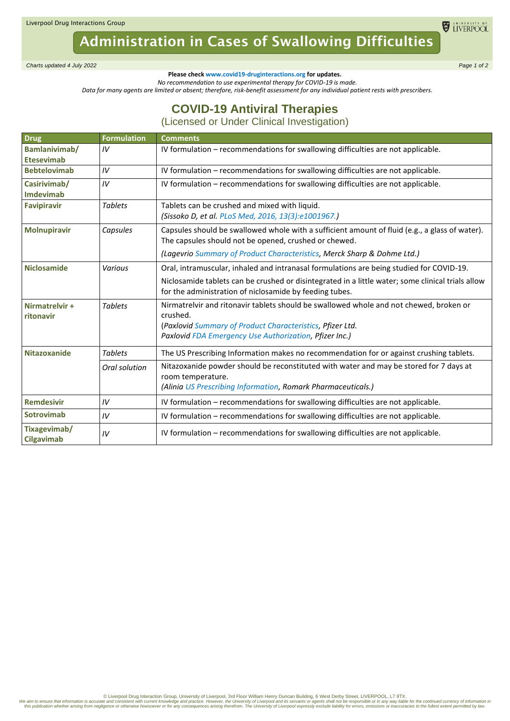Liverpool Drug Interactions Group

## Administration in Cases of Swallowing Difficulties

*Charts updated 4 July 2022 Page 1 of 2*

**Please check www.covid19-druginteractions.org for updates.**

*No recommendation to use experimental therapy for COVID-19 is made.*

*Data for many agents are limited or absent; therefore, risk-benefit assessment for any individual patient rests with prescribers.* 

## **COVID-19 Antiviral Therapies**

(Licensed or Under Clinical Investigation)

| <b>Drug</b>                        | <b>Formulation</b> | <b>Comments</b>                                                                                                                                                             |
|------------------------------------|--------------------|-----------------------------------------------------------------------------------------------------------------------------------------------------------------------------|
| Bamlanivimab/<br><b>Etesevimab</b> | IV                 | IV formulation - recommendations for swallowing difficulties are not applicable.                                                                                            |
| <b>Bebtelovimab</b>                | IV                 | IV formulation - recommendations for swallowing difficulties are not applicable.                                                                                            |
| Casirivimab/<br><b>Imdevimab</b>   | IV                 | IV formulation - recommendations for swallowing difficulties are not applicable.                                                                                            |
| <b>Favipiravir</b>                 | <b>Tablets</b>     | Tablets can be crushed and mixed with liquid.<br>(Sissoko D, et al. PLoS Med, 2016, 13(3):e1001967.)                                                                        |
| <b>Molnupiravir</b>                | Capsules           | Capsules should be swallowed whole with a sufficient amount of fluid (e.g., a glass of water).<br>The capsules should not be opened, crushed or chewed.                     |
|                                    |                    | (Lagevrio Summary of Product Characteristics, Merck Sharp & Dohme Ltd.)                                                                                                     |
| <b>Niclosamide</b>                 | Various            | Oral, intramuscular, inhaled and intranasal formulations are being studied for COVID-19.                                                                                    |
|                                    |                    | Niclosamide tablets can be crushed or disintegrated in a little water; some clinical trials allow<br>for the administration of niclosamide by feeding tubes.                |
| Nirmatrelvir +<br>ritonavir        | <b>Tablets</b>     | Nirmatrelvir and ritonavir tablets should be swallowed whole and not chewed, broken or<br>crushed.                                                                          |
|                                    |                    | (Paxlovid Summary of Product Characteristics, Pfizer Ltd.<br>Paxlovid FDA Emergency Use Authorization, Pfizer Inc.)                                                         |
| <b>Nitazoxanide</b>                | <b>Tablets</b>     | The US Prescribing Information makes no recommendation for or against crushing tablets.                                                                                     |
|                                    | Oral solution      | Nitazoxanide powder should be reconstituted with water and may be stored for 7 days at<br>room temperature.<br>(Alinia US Prescribing Information, Romark Pharmaceuticals.) |
| <b>Remdesivir</b>                  | IV                 | IV formulation – recommendations for swallowing difficulties are not applicable.                                                                                            |
| <b>Sotrovimab</b>                  | IV                 | IV formulation - recommendations for swallowing difficulties are not applicable.                                                                                            |
| Tixagevimab/<br><b>Cilgavimab</b>  | IV                 | IV formulation – recommendations for swallowing difficulties are not applicable.                                                                                            |

Diverpool Drug Interaction Group, University of Liverpool, 3rd Floor William Henry Duncan Building, 6 West Derby Street, LIVERPOOL, L7 8TX.<br>We aim to ensure that information inconsistent with current knowledge and practice